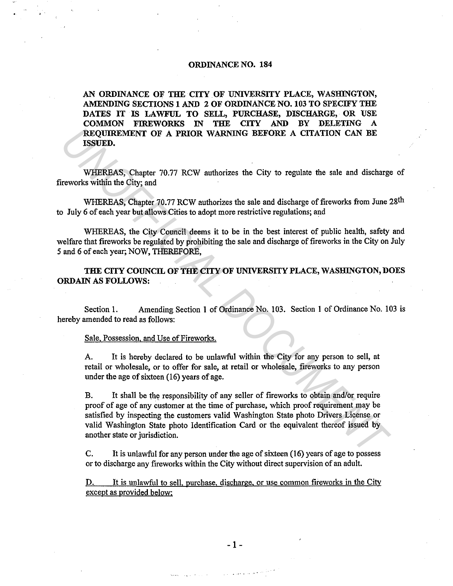## ORDINANCE NO. 184

AN ORDINANCE OF THE CITY OF UNIVERSITY PLACE, WASHINGTON, AMENDING SECTIONS 1 AND 2 OF ORDINANCE NO. 103 TO SPECIFY THE DATES IT IS LAWFUL TO SELL, PURCHASE, DISCHARGE, OR USE COMMON FIREWORKS IN THE CITY AND BY DELETING REQUIREMENT OF A PRIOR WARNING BEFORE A CITATION CAN BE ISSUED.

WHEREAS, Chapter 70.77 RCW authorizes the City to regulate the sale and discharge of fireworks within the City; and

WHEREAS, Chapter 70.77 RCW authorizes the sale and discharge of fireworks from June 28<sup>th</sup> to July 6 of each year but allows Cities to adopt more restrictive regulations; and

WHEREAS, the City Council deems it to be in the best interest of public health, safety and welfare that fireworks be regulated by prohibiting the sale and discharge of fireworks in the City on July *5* and 6 of each year; NOW, THEREFORE,

THE CITY COUNCIL OF THE CITY OF UNIVERSITY PLACE, WASHINGTON, DOES ORDAIN AS FOLLOWS:

Section I. Amending Section I of Ordinance No. 103. Section 1 of Ordinance No. 103 is hereby amended to read as follows:

## Sale, Possession, and Use of Fireworks.

A. It is hereby declared to be unlawful within the City for any person to sell, at retail or wholesale, or to offer for sale, at retail or wholesale, fireworks to any person under the age of sixteen (16) years of age.

B. It shall be the responsibility of any seller of fireworks to obtain and/or require proof of age of any customer at the time of purchase, which proof requirement may be satisfied by inspecting the customers valid Washington State photo Drivers License or valid Washington State photo Identification Card or the equivalent thereof issued by another state or jurisdiction. **REQUIREMENT OF A PRIOR WARNING BEFORE A CITATION CAN BE<br>
ISSUED.**<br>
WHEREAS, Chapter 70.77 RCW authorizes the City to regulate the sale and discharge<br>
iveworks within the City, and<br>
WHEREAS, Chapter 70.77 RCW authorizes th

C. It is unlawful for any person under the age of sixteen (16) years of age to possess or to discharge any fireworks within the City without direct supervision of an adult.

It is unlawful to sell. purchase, discharge, or use common fireworks in the City except as provided below: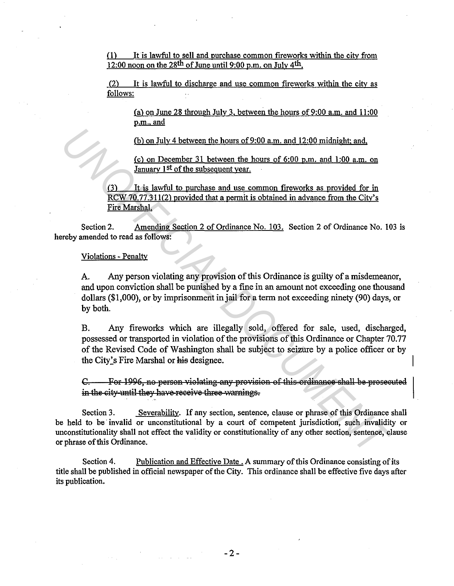It is lawful to sell and purchase common fireworks within the city from  $(1)$ 12:00 noon on the 28<sup>th</sup> of June until 9:00 p.m. on July 4<sup>th</sup>.

(2) It is lawful to discharge and use common fireworks within the city as follows:

(a) on June 28 through July 3, between the hours of  $9:00$  a.m. and  $11:00$ p.m., and

(b) on July 4 between the hours of 9:00 a.m. and 12:00 midnight; and,

(c) on December 31 between the hours of 6:00 p.m. and 1:00 a.m. on January 1st of the subsequent year.

It is lawful to purchase and use common fireworks as provided for in  $(3)$ RCW 70.77.311(2) provided that a permit is obtained in advance from the City's Fire Marshal.

Amending Section 2 of Ordinance No. 103. Section 2 of Ordinance No. 103 is Section 2. hereby amended to read as follows:

## Violations - Penalty

Any person violating any provision of this Ordinance is guilty of a misdemeanor, A. and upon conviction shall be punished by a fine in an amount not exceeding one thousand dollars (\$1,000), or by imprisonment in jail for a term not exceeding ninety (90) days, or by both.

Any fireworks which are illegally sold, offered for sale, used, discharged, **B.** possessed or transported in violation of the provisions of this Ordinance or Chapter 70.77 of the Revised Code of Washington shall be subject to seizure by a police officer or by the City's Fire Marshal or his designee.

For 1996, no person violating any provision of this ordinance shall be prosecuted  $C$ in the city-until they have-receive three-warnings.

Severability. If any section, sentence, clause or phrase of this Ordinance shall Section 3. be held to be invalid or unconstitutional by a court of competent jurisdiction, such invalidity or unconstitutionality shall not effect the validity or constitutionality of any other section, sentence, clause or phrase of this Ordinance.

Section 4. Publication and Effective Date . A summary of this Ordinance consisting of its title shall be published in official newspaper of the City. This ordinance shall be effective five days after its publication.